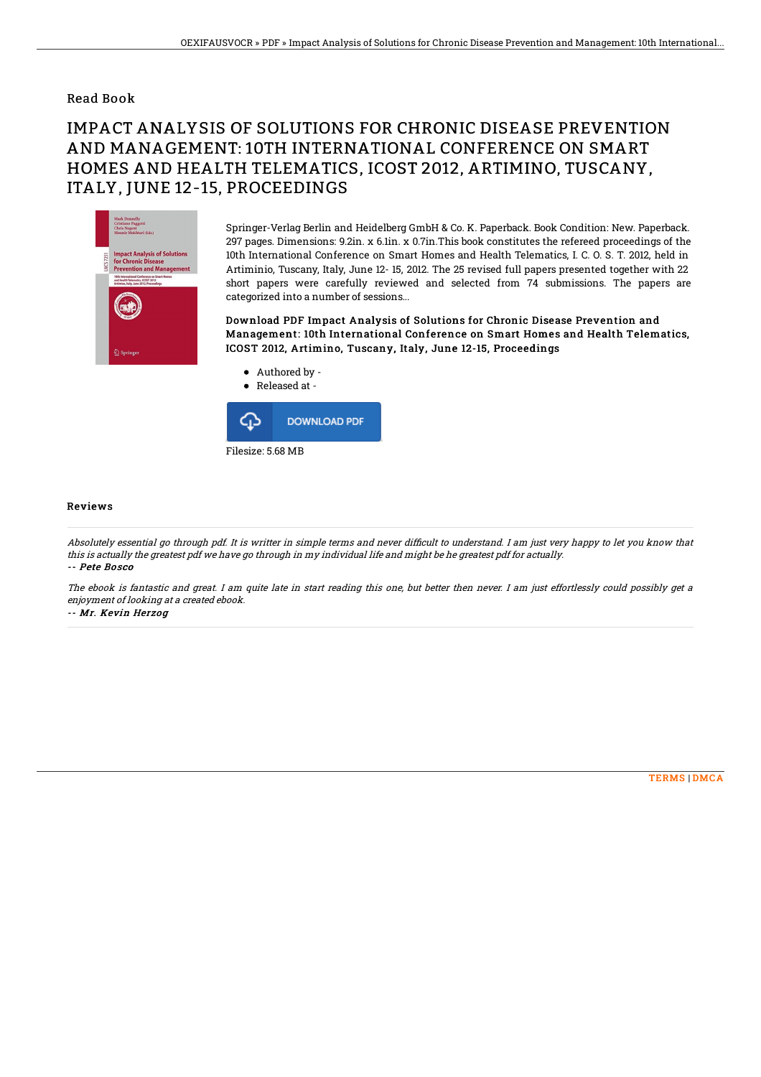## Read Book

## IMPACT ANALYSIS OF SOLUTIONS FOR CHRONIC DISEASE PREVENTION AND MANAGEMENT: 10TH INTERNATIONAL CONFERENCE ON SMART HOMES AND HEALTH TELEMATICS, ICOST 2012, ARTIMINO, TUSCANY, ITALY, JUNE 12-15, PROCEEDINGS



Springer-Verlag Berlin and Heidelberg GmbH & Co. K. Paperback. Book Condition: New. Paperback. 297 pages. Dimensions: 9.2in. x 6.1in. x 0.7in.This book constitutes the refereed proceedings of the 10th International Conference on Smart Homes and Health Telematics, I. C. O. S. T. 2012, held in Artiminio, Tuscany, Italy, June 12- 15, 2012. The 25 revised full papers presented together with 22 short papers were carefully reviewed and selected from 74 submissions. The papers are categorized into a number of sessions...

Download PDF Impact Analysis of Solutions for Chronic Disease Prevention and Management: 10th International Conference on Smart Homes and Health Telematics, ICOST 2012, Artimino, Tuscany, Italy, June 12-15, Proceedings



## Reviews

Absolutely essential go through pdf. It is writter in simple terms and never difficult to understand. I am just very happy to let you know that this is actually the greatest pdf we have go through in my individual life and might be he greatest pdf for actually. -- Pete Bosco

The ebook is fantastic and great. I am quite late in start reading this one, but better then never. I am just effortlessly could possibly get <sup>a</sup> enjoyment of looking at <sup>a</sup> created ebook.

-- Mr. Kevin Herzog